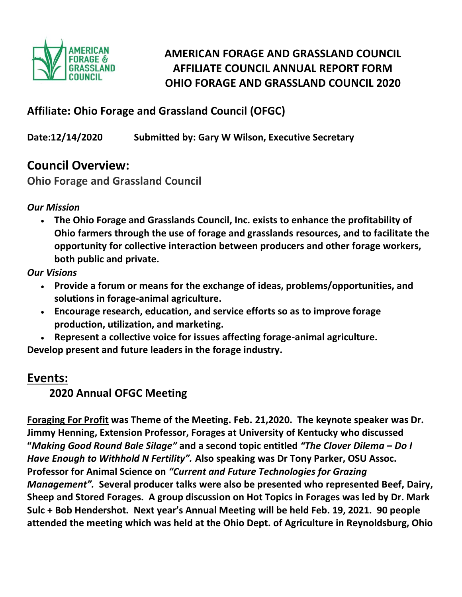

# **AMERICAN FORAGE AND GRASSLAND COUNCIL AFFILIATE COUNCIL ANNUAL REPORT FORM OHIO FORAGE AND GRASSLAND COUNCIL 2020**

## **Affiliate: Ohio Forage and Grassland Council (OFGC)**

**Date:12/14/2020 Submitted by: Gary W Wilson, Executive Secretary**

## **Council Overview:**

**Ohio Forage and Grassland Council**

*Our Mission*

• **The Ohio Forage and Grasslands Council, Inc. exists to enhance the profitability of Ohio farmers through the use of forage and grasslands resources, and to facilitate the opportunity for collective interaction between producers and other forage workers, both public and private.**

*Our Visions*

- **Provide a forum or means for the exchange of ideas, problems/opportunities, and solutions in forage-animal agriculture.**
- **Encourage research, education, and service efforts so as to improve forage production, utilization, and marketing.**
- **Represent a collective voice for issues affecting forage-animal agriculture.**

**Develop present and future leaders in the forage industry.**

## **Events:**

## **2020 Annual OFGC Meeting**

**Foraging For Profit was Theme of the Meeting. Feb. 21,2020. The keynote speaker was Dr. Jimmy Henning, Extension Professor, Forages at University of Kentucky who discussed "***Making Good Round Bale Silage"* **and a second topic entitled** *"The Clover Dilema – Do I Have Enough to Withhold N Fertility".* **Also speaking was Dr Tony Parker, OSU Assoc. Professor for Animal Science on** *"Current and Future Technologies for Grazing Management".* **Several producer talks were also be presented who represented Beef, Dairy, Sheep and Stored Forages. A group discussion on Hot Topics in Forages was led by Dr. Mark Sulc + Bob Hendershot. Next year's Annual Meeting will be held Feb. 19, 2021. 90 people attended the meeting which was held at the Ohio Dept. of Agriculture in Reynoldsburg, Ohio**